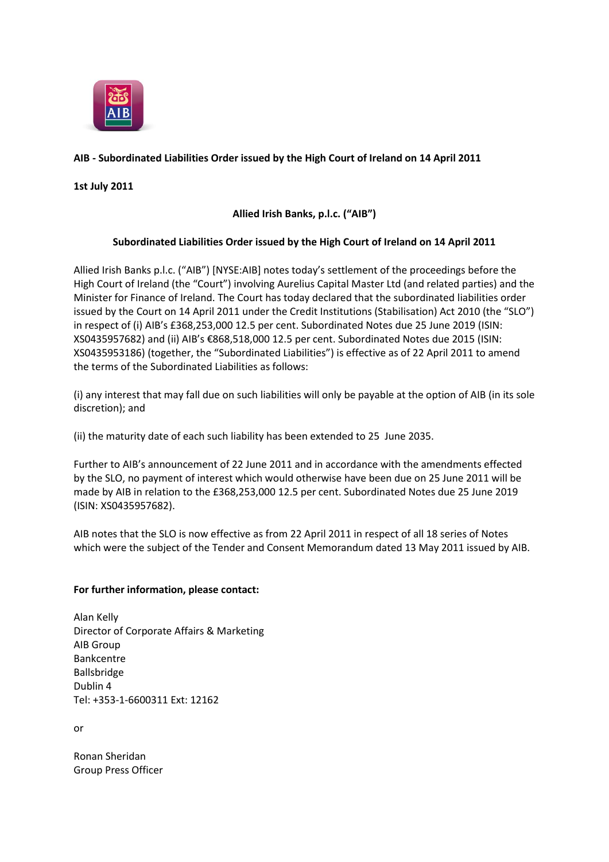

## **AIB - Subordinated Liabilities Order issued by the High Court of Ireland on 14 April 2011**

**1st July 2011**

## **Allied Irish Banks, p.l.c. ("AIB")**

## **Subordinated Liabilities Order issued by the High Court of Ireland on 14 April 2011**

Allied Irish Banks p.l.c. ("AIB") [NYSE:AIB] notes today's settlement of the proceedings before the High Court of Ireland (the "Court") involving Aurelius Capital Master Ltd (and related parties) and the Minister for Finance of Ireland. The Court has today declared that the subordinated liabilities order issued by the Court on 14 April 2011 under the Credit Institutions (Stabilisation) Act 2010 (the "SLO") in respect of (i) AIB's £368,253,000 12.5 per cent. Subordinated Notes due 25 June 2019 (ISIN: XS0435957682) and (ii) AIB's €868,518,000 12.5 per cent. Subordinated Notes due 2015 (ISIN: XS0435953186) (together, the "Subordinated Liabilities") is effective as of 22 April 2011 to amend the terms of the Subordinated Liabilities as follows:

(i) any interest that may fall due on such liabilities will only be payable at the option of AIB (in its sole discretion); and

(ii) the maturity date of each such liability has been extended to 25 June 2035.

Further to AIB's announcement of 22 June 2011 and in accordance with the amendments effected by the SLO, no payment of interest which would otherwise have been due on 25 June 2011 will be made by AIB in relation to the £368,253,000 12.5 per cent. Subordinated Notes due 25 June 2019 (ISIN: XS0435957682).

AIB notes that the SLO is now effective as from 22 April 2011 in respect of all 18 series of Notes which were the subject of the Tender and Consent Memorandum dated 13 May 2011 issued by AIB.

## **For further information, please contact:**

Alan Kelly Director of Corporate Affairs & Marketing AIB Group Bankcentre Ballsbridge Dublin 4 Tel: +353-1-6600311 Ext: 12162

or

Ronan Sheridan Group Press Officer